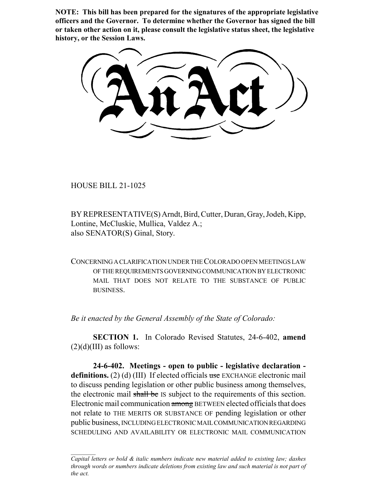**NOTE: This bill has been prepared for the signatures of the appropriate legislative officers and the Governor. To determine whether the Governor has signed the bill or taken other action on it, please consult the legislative status sheet, the legislative history, or the Session Laws.**

HOUSE BILL 21-1025

BY REPRESENTATIVE(S) Arndt, Bird, Cutter, Duran, Gray, Jodeh, Kipp, Lontine, McCluskie, Mullica, Valdez A.; also SENATOR(S) Ginal, Story.

CONCERNING A CLARIFICATION UNDER THE COLORADO OPEN MEETINGS LAW OF THE REQUIREMENTS GOVERNING COMMUNICATION BY ELECTRONIC MAIL THAT DOES NOT RELATE TO THE SUBSTANCE OF PUBLIC BUSINESS.

*Be it enacted by the General Assembly of the State of Colorado:*

**SECTION 1.** In Colorado Revised Statutes, 24-6-402, **amend**  $(2)(d)(III)$  as follows:

**24-6-402. Meetings - open to public - legislative declaration**  definitions. (2) (d) (III) If elected officials use EXCHANGE electronic mail to discuss pending legislation or other public business among themselves, the electronic mail shall be IS subject to the requirements of this section. Electronic mail communication among BETWEEN elected officials that does not relate to THE MERITS OR SUBSTANCE OF pending legislation or other public business, INCLUDING ELECTRONIC MAIL COMMUNICATION REGARDING SCHEDULING AND AVAILABILITY OR ELECTRONIC MAIL COMMUNICATION

*Capital letters or bold & italic numbers indicate new material added to existing law; dashes through words or numbers indicate deletions from existing law and such material is not part of the act.*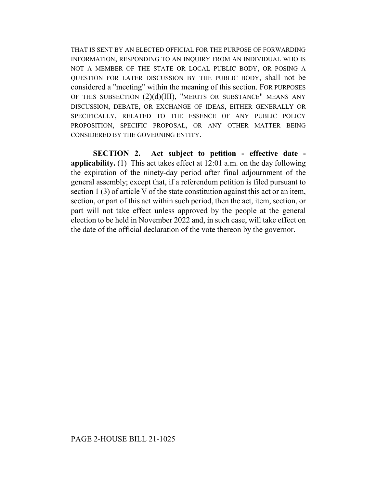THAT IS SENT BY AN ELECTED OFFICIAL FOR THE PURPOSE OF FORWARDING INFORMATION, RESPONDING TO AN INQUIRY FROM AN INDIVIDUAL WHO IS NOT A MEMBER OF THE STATE OR LOCAL PUBLIC BODY, OR POSING A QUESTION FOR LATER DISCUSSION BY THE PUBLIC BODY, shall not be considered a "meeting" within the meaning of this section. FOR PURPOSES OF THIS SUBSECTION  $(2)(d)(III)$ , "MERITS OR SUBSTANCE" MEANS ANY DISCUSSION, DEBATE, OR EXCHANGE OF IDEAS, EITHER GENERALLY OR SPECIFICALLY, RELATED TO THE ESSENCE OF ANY PUBLIC POLICY PROPOSITION, SPECIFIC PROPOSAL, OR ANY OTHER MATTER BEING CONSIDERED BY THE GOVERNING ENTITY.

**SECTION 2. Act subject to petition - effective date applicability.** (1) This act takes effect at 12:01 a.m. on the day following the expiration of the ninety-day period after final adjournment of the general assembly; except that, if a referendum petition is filed pursuant to section 1 (3) of article V of the state constitution against this act or an item, section, or part of this act within such period, then the act, item, section, or part will not take effect unless approved by the people at the general election to be held in November 2022 and, in such case, will take effect on the date of the official declaration of the vote thereon by the governor.